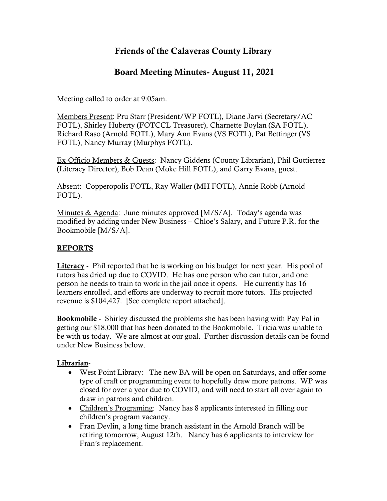# Friends of the Calaveras County Library

## Board Meeting Minutes- August 11, 2021

Meeting called to order at 9:05am.

Members Present: Pru Starr (President/WP FOTL), Diane Jarvi (Secretary/AC FOTL), Shirley Huberty (FOTCCL Treasurer), Charnette Boylan (SA FOTL), Richard Raso (Arnold FOTL), Mary Ann Evans (VS FOTL), Pat Bettinger (VS FOTL), Nancy Murray (Murphys FOTL).

Ex-Officio Members & Guests: Nancy Giddens (County Librarian), Phil Guttierrez (Literacy Director), Bob Dean (Moke Hill FOTL), and Garry Evans, guest.

Absent: Copperopolis FOTL, Ray Waller (MH FOTL), Annie Robb (Arnold FOTL).

Minutes & Agenda: June minutes approved [M/S/A]. Today's agenda was modified by adding under New Business – Chloe's Salary, and Future P.R. for the Bookmobile [M/S/A].

### REPORTS

Literacy - Phil reported that he is working on his budget for next year. His pool of tutors has dried up due to COVID. He has one person who can tutor, and one person he needs to train to work in the jail once it opens. He currently has 16 learners enrolled, and efforts are underway to recruit more tutors. His projected revenue is \$104,427. [See complete report attached].

Bookmobile - Shirley discussed the problems she has been having with Pay Pal in getting our \$18,000 that has been donated to the Bookmobile. Tricia was unable to be with us today. We are almost at our goal. Further discussion details can be found under New Business below.

### Librarian-

- West Point Library: The new BA will be open on Saturdays, and offer some type of craft or programming event to hopefully draw more patrons. WP was closed for over a year due to COVID, and will need to start all over again to draw in patrons and children.
- Children's Programing: Nancy has 8 applicants interested in filling our children's program vacancy.
- Fran Devlin, a long time branch assistant in the Arnold Branch will be retiring tomorrow, August 12th. Nancy has 6 applicants to interview for Fran's replacement.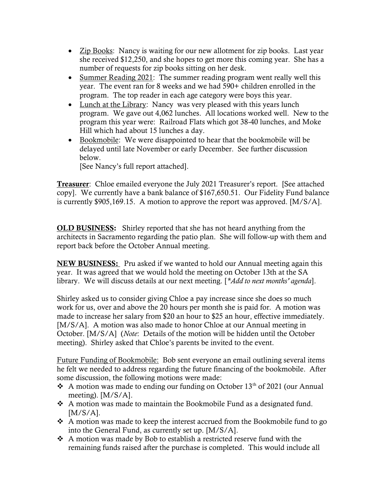- Zip Books: Nancy is waiting for our new allotment for zip books. Last year she received \$12,250, and she hopes to get more this coming year. She has a number of requests for zip books sitting on her desk.
- Summer Reading 2021: The summer reading program went really well this year. The event ran for 8 weeks and we had 590+ children enrolled in the program. The top reader in each age category were boys this year.
- Lunch at the Library: Nancy was very pleased with this years lunch program. We gave out 4,062 lunches. All locations worked well. New to the program this year were: Railroad Flats which got 38-40 lunches, and Moke Hill which had about 15 lunches a day.
- Bookmobile: We were disappointed to hear that the bookmobile will be delayed until late November or early December. See further discussion below.

[See Nancy's full report attached].

Treasurer: Chloe emailed everyone the July 2021 Treasurer's report. [See attached copy]. We currently have a bank balance of \$167,650.51. Our Fidelity Fund balance is currently \$905,169.15. A motion to approve the report was approved. [M/S/A].

OLD BUSINESS: Shirley reported that she has not heard anything from the architects in Sacramento regarding the patio plan. She will follow-up with them and report back before the October Annual meeting.

NEW BUSINESS: Pru asked if we wanted to hold our Annual meeting again this year. It was agreed that we would hold the meeting on October 13th at the SA library. We will discuss details at our next meeting. [\**Add to next months' agenda*].

Shirley asked us to consider giving Chloe a pay increase since she does so much work for us, over and above the 20 hours per month she is paid for. A motion was made to increase her salary from \$20 an hour to \$25 an hour, effective immediately. [M/S/A]. A motion was also made to honor Chloe at our Annual meeting in October. [M/S/A] (Note: Details of the motion will be hidden until the October meeting). Shirley asked that Chloe's parents be invited to the event.

Future Funding of Bookmobile: Bob sent everyone an email outlining several items he felt we needed to address regarding the future financing of the bookmobile. After some discussion, the following motions were made:

- A motion was made to ending our funding on October  $13<sup>th</sup>$  of 2021 (our Annual meeting). [M/S/A].
- A motion was made to maintain the Bookmobile Fund as a designated fund.  $[M/S/A]$ .
- $\triangle$  A motion was made to keep the interest accrued from the Bookmobile fund to go into the General Fund, as currently set up. [M/S/A].
- $\triangle$  A motion was made by Bob to establish a restricted reserve fund with the remaining funds raised after the purchase is completed. This would include all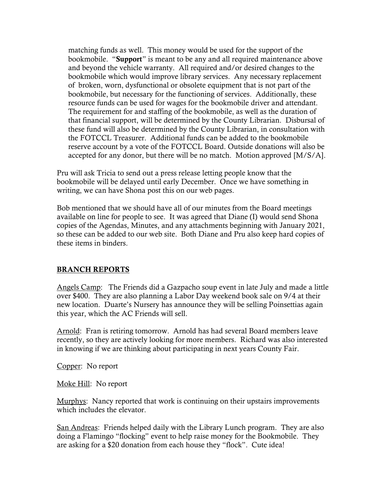matching funds as well. This money would be used for the support of the bookmobile. "Support" is meant to be any and all required maintenance above and beyond the vehicle warranty. All required and/or desired changes to the bookmobile which would improve library services. Any necessary replacement of broken, worn, dysfunctional or obsolete equipment that is not part of the bookmobile, but necessary for the functioning of services. Additionally, these resource funds can be used for wages for the bookmobile driver and attendant. The requirement for and staffing of the bookmobile, as well as the duration of that financial support, will be determined by the County Librarian. Disbursal of these fund will also be determined by the County Librarian, in consultation with the FOTCCL Treasurer. Additional funds can be added to the bookmobile reserve account by a vote of the FOTCCL Board. Outside donations will also be accepted for any donor, but there will be no match. Motion approved [M/S/A].

Pru will ask Tricia to send out a press release letting people know that the bookmobile will be delayed until early December. Once we have something in writing, we can have Shona post this on our web pages.

Bob mentioned that we should have all of our minutes from the Board meetings available on line for people to see. It was agreed that Diane (I) would send Shona copies of the Agendas, Minutes, and any attachments beginning with January 2021, so these can be added to our web site. Both Diane and Pru also keep hard copies of these items in binders.

#### BRANCH REPORTS

Angels Camp: The Friends did a Gazpacho soup event in late July and made a little over \$400. They are also planning a Labor Day weekend book sale on 9/4 at their new location. Duarte's Nursery has announce they will be selling Poinsettias again this year, which the AC Friends will sell.

Arnold: Fran is retiring tomorrow. Arnold has had several Board members leave recently, so they are actively looking for more members. Richard was also interested in knowing if we are thinking about participating in next years County Fair.

Copper: No report

Moke Hill: No report

Murphys: Nancy reported that work is continuing on their upstairs improvements which includes the elevator

San Andreas: Friends helped daily with the Library Lunch program. They are also doing a Flamingo "flocking" event to help raise money for the Bookmobile. They are asking for a \$20 donation from each house they "flock". Cute idea!